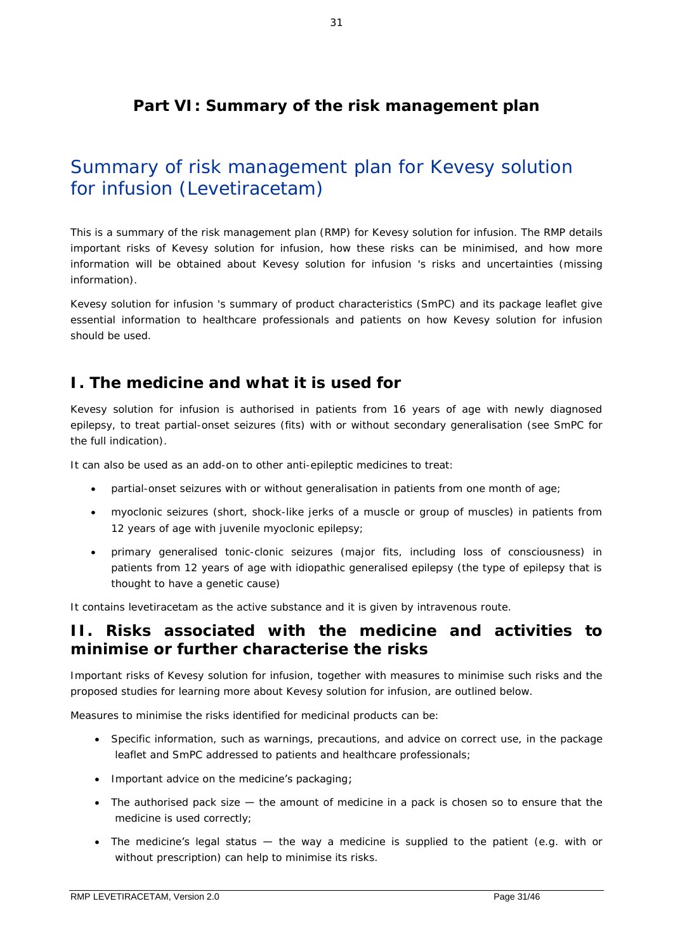## **Part VI: Summary of the risk management plan**

# Summary of risk management plan for Kevesy solution for infusion (Levetiracetam)

This is a summary of the risk management plan (RMP) for Kevesy solution for infusion. The RMP details important risks of Kevesy solution for infusion, how these risks can be minimised, and how more information will be obtained about Kevesy solution for infusion 's risks and uncertainties (missing information).

Kevesy solution for infusion 's summary of product characteristics (SmPC) and its package leaflet give essential information to healthcare professionals and patients on how Kevesy solution for infusion should be used.

### **I. The medicine and what it is used for**

Kevesy solution for infusion is authorised in patients from 16 years of age with newly diagnosed epilepsy, to treat partial-onset seizures (fits) with or without secondary generalisation (see SmPC for the full indication).

It can also be used as an add-on to other anti-epileptic medicines to treat:

- partial-onset seizures with or without generalisation in patients from one month of age;
- myoclonic seizures (short, shock-like jerks of a muscle or group of muscles) in patients from 12 years of age with juvenile myoclonic epilepsy;
- primary generalised tonic-clonic seizures (major fits, including loss of consciousness) in patients from 12 years of age with idiopathic generalised epilepsy (the type of epilepsy that is thought to have a genetic cause)

It contains levetiracetam as the active substance and it is given by intravenous route.

### **II. Risks associated with the medicine and activities to minimise or further characterise the risks**

Important risks of Kevesy solution for infusion, together with measures to minimise such risks and the proposed studies for learning more about Kevesy solution for infusion, are outlined below.

Measures to minimise the risks identified for medicinal products can be:

- Specific information, such as warnings, precautions, and advice on correct use, in the package leaflet and SmPC addressed to patients and healthcare professionals;
- Important advice on the medicine's packaging;
- The authorised pack size the amount of medicine in a pack is chosen so to ensure that the medicine is used correctly;
- The medicine's legal status the way a medicine is supplied to the patient (e.g. with or without prescription) can help to minimise its risks.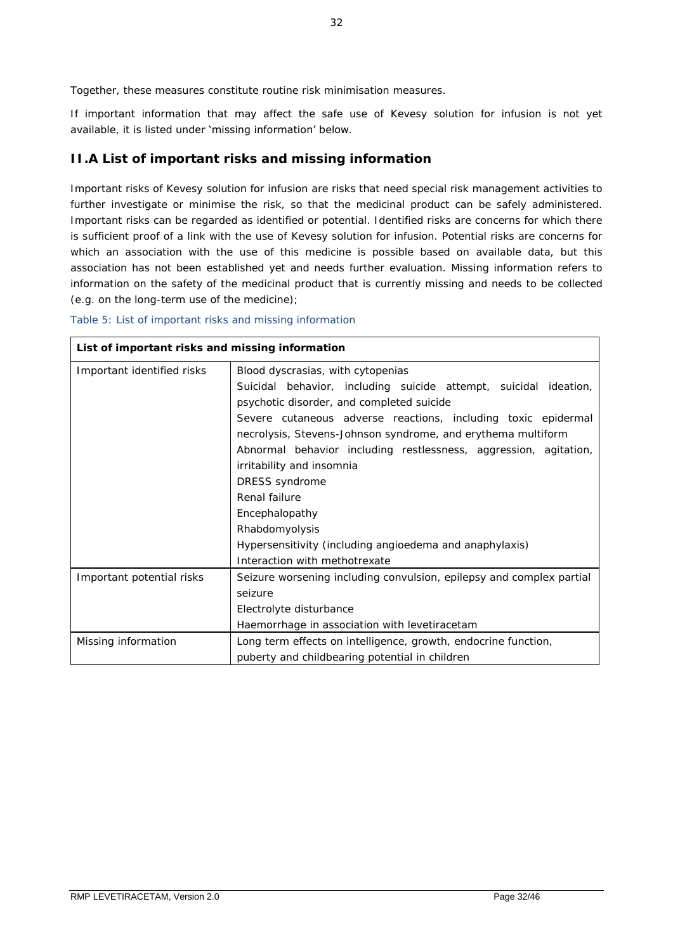Together, these measures constitute *routine risk minimisation* measures.

If important information that may affect the safe use of Kevesy solution for infusion is not yet available, it is listed under 'missing information' below.

### *II.A List of important risks and missing information*

Important risks of Kevesy solution for infusion are risks that need special risk management activities to further investigate or minimise the risk, so that the medicinal product can be safely administered. Important risks can be regarded as identified or potential. Identified risks are concerns for which there is sufficient proof of a link with the use of Kevesy solution for infusion. Potential risks are concerns for which an association with the use of this medicine is possible based on available data, but this association has not been established yet and needs further evaluation. Missing information refers to information on the safety of the medicinal product that is currently missing and needs to be collected (e.g. on the long-term use of the medicine);

#### *Table 5: List of important risks and missing information*

| List of important risks and missing information |                                                                                                                                                                                                                                                                                                                                                                                                                                                                                                                                                         |
|-------------------------------------------------|---------------------------------------------------------------------------------------------------------------------------------------------------------------------------------------------------------------------------------------------------------------------------------------------------------------------------------------------------------------------------------------------------------------------------------------------------------------------------------------------------------------------------------------------------------|
| Important identified risks                      | Blood dyscrasias, with cytopenias<br>Suicidal behavior, including suicide attempt, suicidal ideation,<br>psychotic disorder, and completed suicide<br>Severe cutaneous adverse reactions, including toxic epidermal<br>necrolysis, Stevens-Johnson syndrome, and erythema multiform<br>Abnormal behavior including restlessness, aggression, agitation,<br>irritability and insomnia<br>DRESS syndrome<br>Renal failure<br>Encephalopathy<br>Rhabdomyolysis<br>Hypersensitivity (including angioedema and anaphylaxis)<br>Interaction with methotrexate |
| Important potential risks                       | Seizure worsening including convulsion, epilepsy and complex partial<br>seizure<br>Electrolyte disturbance<br>Haemorrhage in association with levetiracetam                                                                                                                                                                                                                                                                                                                                                                                             |
| Missing information                             | Long term effects on intelligence, growth, endocrine function,<br>puberty and childbearing potential in children                                                                                                                                                                                                                                                                                                                                                                                                                                        |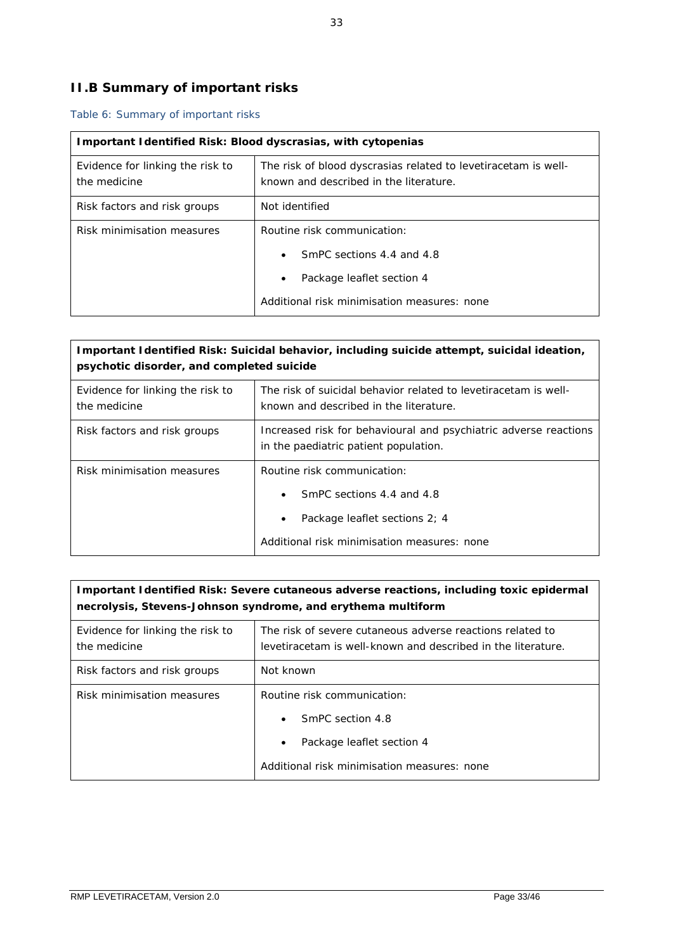# *II.B Summary of important risks*

### *Table 6: Summary of important risks*

| Important Identified Risk: Blood dyscrasias, with cytopenias |                                                                                                          |
|--------------------------------------------------------------|----------------------------------------------------------------------------------------------------------|
| Evidence for linking the risk to<br>the medicine             | The risk of blood dyscrasias related to levetiracetam is well-<br>known and described in the literature. |
| Risk factors and risk groups                                 | Not identified                                                                                           |
| Risk minimisation measures                                   | Routine risk communication:                                                                              |
|                                                              | SmPC sections 4.4 and 4.8<br>$\bullet$                                                                   |
|                                                              | Package leaflet section 4<br>$\bullet$                                                                   |
|                                                              | Additional risk minimisation measures: none                                                              |

| Important Identified Risk: Suicidal behavior, including suicide attempt, suicidal ideation,<br>psychotic disorder, and completed suicide |                                                                                                                                                       |
|------------------------------------------------------------------------------------------------------------------------------------------|-------------------------------------------------------------------------------------------------------------------------------------------------------|
| Evidence for linking the risk to<br>the medicine                                                                                         | The risk of suicidal behavior related to levetiracetam is well-<br>known and described in the literature.                                             |
| Risk factors and risk groups                                                                                                             | Increased risk for behavioural and psychiatric adverse reactions<br>in the paediatric patient population.                                             |
| Risk minimisation measures                                                                                                               | Routine risk communication:<br>SmPC sections 4.4 and 4.8<br>Package leaflet sections 2; 4<br>$\bullet$<br>Additional risk minimisation measures: none |

| Important I dentified Risk: Severe cutaneous adverse reactions, including toxic epidermal<br>necrolysis, Stevens-Johnson syndrome, and erythema multiform |                                                                                                                             |
|-----------------------------------------------------------------------------------------------------------------------------------------------------------|-----------------------------------------------------------------------------------------------------------------------------|
| Evidence for linking the risk to<br>the medicine                                                                                                          | The risk of severe cutaneous adverse reactions related to<br>levetiracetam is well-known and described in the literature.   |
| Risk factors and risk groups                                                                                                                              | Not known                                                                                                                   |
| Risk minimisation measures                                                                                                                                | Routine risk communication:<br>SmPC section 4.8<br>Package leaflet section 4<br>Additional risk minimisation measures: none |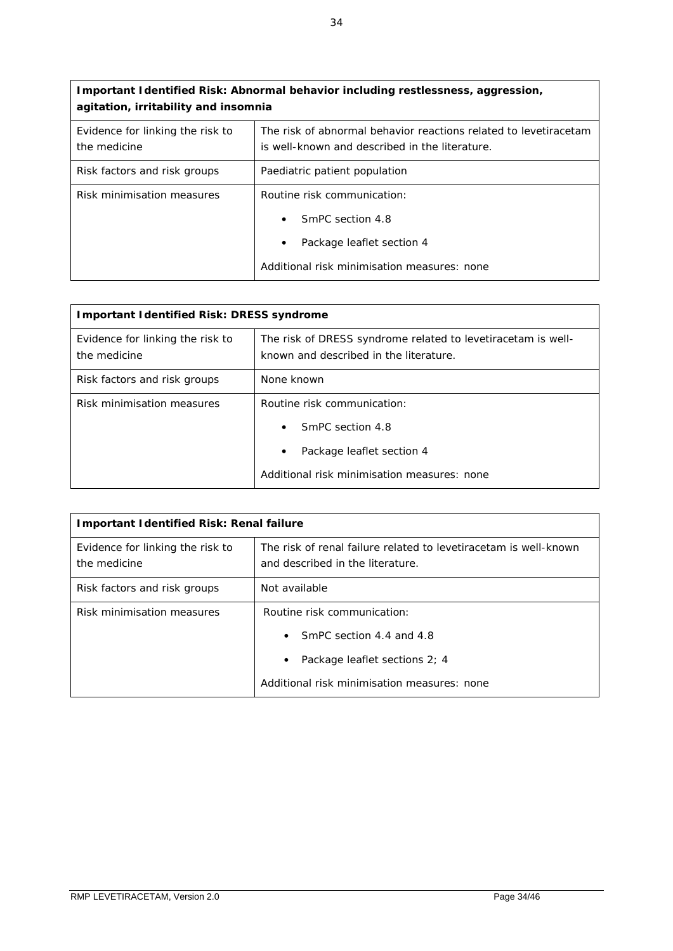| Important Identified Risk: Abnormal behavior including restlessness, aggression,<br>agitation, irritability and insomnia |                                                                                                                                  |
|--------------------------------------------------------------------------------------------------------------------------|----------------------------------------------------------------------------------------------------------------------------------|
| Evidence for linking the risk to<br>the medicine                                                                         | The risk of abnormal behavior reactions related to levetiracetam<br>is well-known and described in the literature.               |
| Risk factors and risk groups                                                                                             | Paediatric patient population                                                                                                    |
| Risk minimisation measures                                                                                               | Routine risk communication:<br>SmPC section 4.8<br>Package leaflet section 4<br>٠<br>Additional risk minimisation measures: none |

| Important I dentified Risk: DRESS syndrome       |                                                                                                        |
|--------------------------------------------------|--------------------------------------------------------------------------------------------------------|
| Evidence for linking the risk to<br>the medicine | The risk of DRESS syndrome related to levetiracetam is well-<br>known and described in the literature. |
| Risk factors and risk groups                     | None known                                                                                             |
| Risk minimisation measures                       | Routine risk communication:                                                                            |
|                                                  | SmPC section 4.8                                                                                       |
|                                                  | Package leaflet section 4<br>$\bullet$                                                                 |
|                                                  | Additional risk minimisation measures: none                                                            |

| mportant I dentified Risk: Renal failure         |                                                                                                      |
|--------------------------------------------------|------------------------------------------------------------------------------------------------------|
| Evidence for linking the risk to<br>the medicine | The risk of renal failure related to levetiracetam is well-known<br>and described in the literature. |
| Risk factors and risk groups                     | Not available                                                                                        |
| Risk minimisation measures                       | Routine risk communication:                                                                          |
|                                                  | SmPC section 4.4 and 4.8<br>$\bullet$                                                                |
|                                                  | Package leaflet sections 2; 4<br>$\bullet$                                                           |
|                                                  | Additional risk minimisation measures: none                                                          |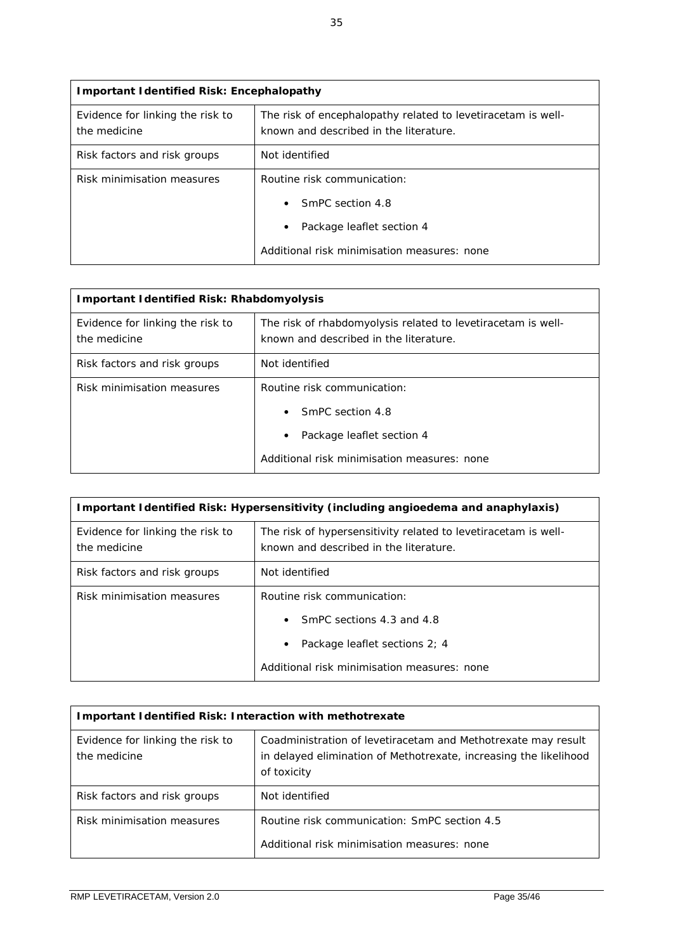| Important I dentified Risk: Encephalopathy       |                                                                                                        |
|--------------------------------------------------|--------------------------------------------------------------------------------------------------------|
| Evidence for linking the risk to<br>the medicine | The risk of encephalopathy related to levetiracetam is well-<br>known and described in the literature. |
| Risk factors and risk groups                     | Not identified                                                                                         |
| Risk minimisation measures                       | Routine risk communication:                                                                            |
|                                                  | SmPC section 4.8<br>$\bullet$                                                                          |
|                                                  | Package leaflet section 4<br>$\bullet$                                                                 |
|                                                  | Additional risk minimisation measures: none                                                            |

| Important Identified Risk: Rhabdomyolysis        |                                                                                                        |
|--------------------------------------------------|--------------------------------------------------------------------------------------------------------|
| Evidence for linking the risk to<br>the medicine | The risk of rhabdomyolysis related to levetiracetam is well-<br>known and described in the literature. |
| Risk factors and risk groups                     | Not identified                                                                                         |
| Risk minimisation measures                       | Routine risk communication:                                                                            |
|                                                  | SmPC section 4.8<br>$\bullet$                                                                          |
|                                                  | Package leaflet section 4<br>$\bullet$                                                                 |
|                                                  | Additional risk minimisation measures: none                                                            |

| Important Identified Risk: Hypersensitivity (including angioedema and anaphylaxis) |                                                                                                          |
|------------------------------------------------------------------------------------|----------------------------------------------------------------------------------------------------------|
| Evidence for linking the risk to<br>the medicine                                   | The risk of hypersensitivity related to levetiracetam is well-<br>known and described in the literature. |
| Risk factors and risk groups                                                       | Not identified                                                                                           |
| Risk minimisation measures                                                         | Routine risk communication:                                                                              |
|                                                                                    | SmPC sections 4.3 and 4.8<br>$\bullet$                                                                   |
|                                                                                    | Package leaflet sections 2: 4<br>$\bullet$                                                               |
|                                                                                    | Additional risk minimisation measures: none                                                              |

| Important Identified Risk: Interaction with methotrexate |                                                                                                                                                   |
|----------------------------------------------------------|---------------------------------------------------------------------------------------------------------------------------------------------------|
| Evidence for linking the risk to<br>the medicine         | Coadministration of levetiracetam and Methotrexate may result<br>in delayed elimination of Methotrexate, increasing the likelihood<br>of toxicity |
| Risk factors and risk groups                             | Not identified                                                                                                                                    |
| Risk minimisation measures                               | Routine risk communication: SmPC section 4.5<br>Additional risk minimisation measures: none                                                       |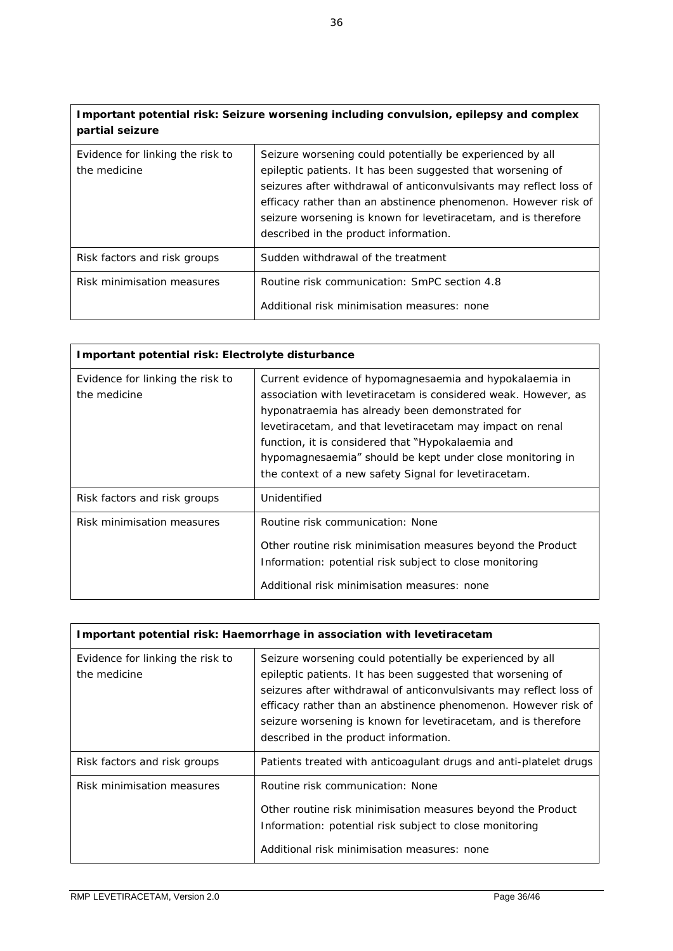**Important potential risk: Seizure worsening including convulsion, epilepsy and complex partial seizure**

| Evidence for linking the risk to<br>the medicine | Seizure worsening could potentially be experienced by all<br>epileptic patients. It has been suggested that worsening of<br>seizures after withdrawal of anticonvulsivants may reflect loss of<br>efficacy rather than an abstinence phenomenon. However risk of<br>seizure worsening is known for levetiracetam, and is therefore<br>described in the product information. |
|--------------------------------------------------|-----------------------------------------------------------------------------------------------------------------------------------------------------------------------------------------------------------------------------------------------------------------------------------------------------------------------------------------------------------------------------|
| Risk factors and risk groups                     | Sudden withdrawal of the treatment                                                                                                                                                                                                                                                                                                                                          |
| Risk minimisation measures                       | Routine risk communication: SmPC section 4.8<br>Additional risk minimisation measures: none                                                                                                                                                                                                                                                                                 |
|                                                  |                                                                                                                                                                                                                                                                                                                                                                             |

| Important potential risk: Electrolyte disturbance |                                                                                                                                                                                                                                                                                                                                                                                                                      |  |  |  |
|---------------------------------------------------|----------------------------------------------------------------------------------------------------------------------------------------------------------------------------------------------------------------------------------------------------------------------------------------------------------------------------------------------------------------------------------------------------------------------|--|--|--|
| Evidence for linking the risk to<br>the medicine  | Current evidence of hypomagnesaemia and hypokalaemia in<br>association with levetiracetam is considered weak. However, as<br>hyponatraemia has already been demonstrated for<br>levetiracetam, and that levetiracetam may impact on renal<br>function, it is considered that "Hypokalaemia and<br>hypomagnesaemia" should be kept under close monitoring in<br>the context of a new safety Signal for levetiracetam. |  |  |  |
| Risk factors and risk groups                      | Unidentified                                                                                                                                                                                                                                                                                                                                                                                                         |  |  |  |
| Risk minimisation measures                        | Routine risk communication: None<br>Other routine risk minimisation measures beyond the Product<br>Information: potential risk subject to close monitoring<br>Additional risk minimisation measures: none                                                                                                                                                                                                            |  |  |  |

| Important potential risk: Haemorrhage in association with levetiracetam |                                                                                                                                                                                                                                                                                                                                                                             |  |  |  |
|-------------------------------------------------------------------------|-----------------------------------------------------------------------------------------------------------------------------------------------------------------------------------------------------------------------------------------------------------------------------------------------------------------------------------------------------------------------------|--|--|--|
| Evidence for linking the risk to<br>the medicine                        | Seizure worsening could potentially be experienced by all<br>epileptic patients. It has been suggested that worsening of<br>seizures after withdrawal of anticonvulsivants may reflect loss of<br>efficacy rather than an abstinence phenomenon. However risk of<br>seizure worsening is known for levetiracetam, and is therefore<br>described in the product information. |  |  |  |
| Risk factors and risk groups                                            | Patients treated with anticoagulant drugs and anti-platelet drugs                                                                                                                                                                                                                                                                                                           |  |  |  |
| Risk minimisation measures                                              | Routine risk communication: None<br>Other routine risk minimisation measures beyond the Product<br>Information: potential risk subject to close monitoring<br>Additional risk minimisation measures: none                                                                                                                                                                   |  |  |  |